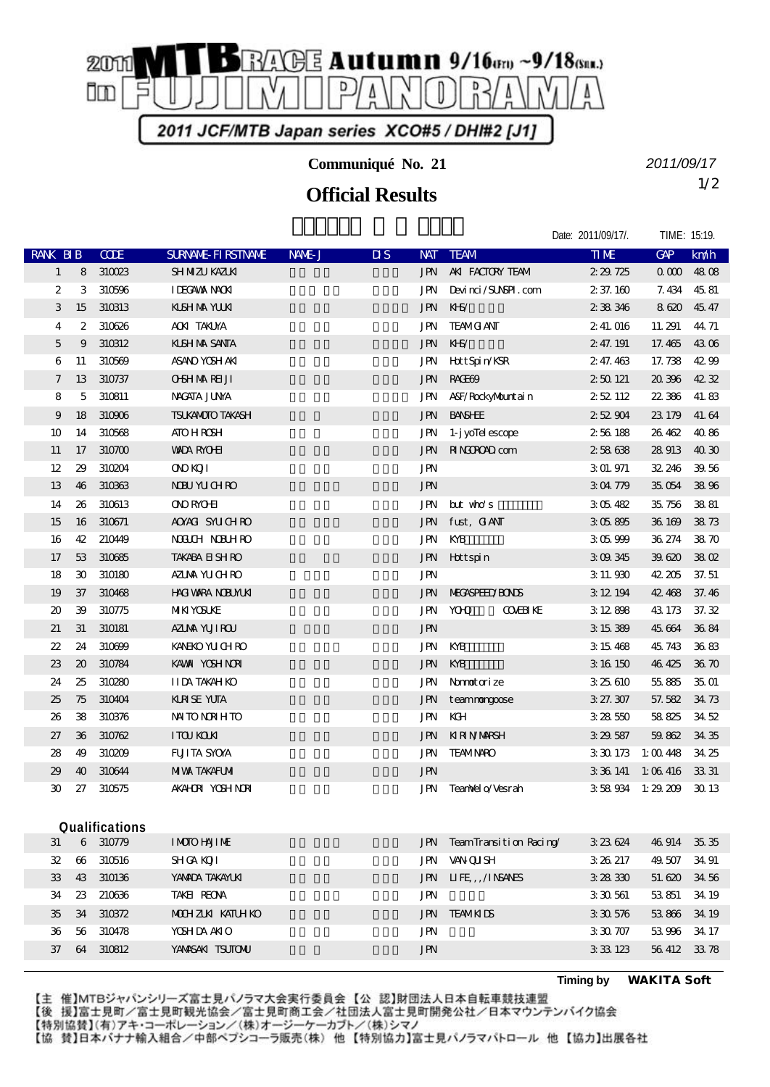

**Communiqué No. 21**

## 1/2 **Official Results**

*2011/09/17*

|                            |                             |             |                           |        |                        |            |                               | Date: 2011/09/17/. | TIME: 15:19. |       |
|----------------------------|-----------------------------|-------------|---------------------------|--------|------------------------|------------|-------------------------------|--------------------|--------------|-------|
| RANK BIB                   |                             | <b>CODE</b> | <b>SURVANE FIRSTIVANE</b> | NAME J | $\overline{\text{MS}}$ | <b>NAT</b> | <b>TEAM</b>                   | <b>TIME</b>        | GAP          | km/h  |
| $\mathbf{1}$               | 8                           | 310023      | SH NIZU KAZUKI            |        |                        | JPN        | AKI FACTORY TEAM              | 2 29 725           | 000          | 4808  |
| $\overline{c}$             | 3                           | 310596      | <b>IDEGAWA NAOKI</b>      |        |                        | <b>JPN</b> | Devinci/SUNSPI.com            | 2 37.160           | 7.434        | 45.81 |
| 3                          | 15                          | 310313      | <b>KISHMA YUKI</b>        |        |                        | JPN        | KHS/                          | 2 38 346           | 8620         | 45.47 |
| 4                          | $\boldsymbol{2}$            | 310626      | <b>ACKI TAKLYA</b>        |        |                        | JPN        | <b>TEAMG ANT</b>              | 2 41, 016          | 11.291       | 44.71 |
| 5                          | 9                           | 310312      | <b>KISH NA SANTA</b>      |        |                        | JPN        | $K-S$                         | 2 47.191           | 17.465       | 4306  |
| 6                          | 11                          | 310569      | ASANO YOSH AKI            |        |                        | JPN        | Hott Spin/KSR                 | 2 47.463           | 17.738       | 4299  |
| $\boldsymbol{7}$           | 13                          | 310737      | <b>OSHMARELI</b>          |        |                        | <b>JPN</b> | RACHO <sub>2</sub>            | 250121             | 20 396       | 4232  |
| 8                          | 5                           | 310811      | <b>NACATA JUNA</b>        |        |                        | JPN        | A&F/RockyMountain             | 252112             | 22 386       | 41.83 |
| 9                          | 18                          | 310906      | <b>TSUKANOTO TAKASH</b>   |        |                        | <b>JPN</b> | <b>BANSHEE</b>                | 252904             | 23 179       | 41.64 |
| 10                         | 14                          | 310568      | <b>ATO HROSH</b>          |        |                        | JPN        | 1- j yollel escope            | 256188             | 26 462       | 4086  |
| 11                         | 17                          | 310700      | <b>WADA RYOHI</b>         |        |                        | JPN        | <b>RINGROAD</b> com           | 258638             | 28 913       | 4030  |
| 12                         | 29                          | 310204      | <b>ONOROTI</b>            |        |                        | <b>JPN</b> |                               | 3 01.971           | 32, 246      | 39.56 |
| 13                         | 46                          | 310363      | <b>NBU YUCHRO</b>         |        |                        | <b>JPN</b> |                               | 304779             | 35 054       | 3896  |
| 14                         | 26                          | 310613      | <b>ONO RYOHI</b>          |        |                        | JPN        | $but$ who's                   | 305482             | 35 756       | 3881  |
| 15                         | 16                          | 310671      | AOYACI SYUCHRO            |        |                        | JPN        | fust, GANT                    | 305895             | 36 169       | 3873  |
| 16                         | 42                          | 210449      | <b>NOUCH NOUHRO</b>       |        |                        | JPN        | KYB                           | 305999             | 36 274       | 3870  |
| 17                         | 53                          | 310685      | <b>TAKABA EI SH RO</b>    |        |                        | JPN        | Hottspin                      | 3 09 345           | 39620        | 38 Q  |
| 18                         | $\mathfrak{D}$              | 310180      | AZUMA YUCHRO              |        |                        | <b>JPN</b> |                               | 3 11 930           | 42.205       | 37.51 |
| 19                         | 37                          | 310468      | <b>HACI VARA NOBUMUKI</b> |        |                        | <b>JPN</b> | <b>MECASPEED/BONDS</b>        | 3 12 194           | 42 468       | 37.46 |
| $\boldsymbol{\mathsf{20}}$ | 39                          | 310775      | <b>MIKI YOSUKE</b>        |        |                        | JPN        | <b>YOHO</b><br><b>COMBINE</b> | 3 12 898           | 43 173       | 37.32 |
| 21                         | 31                          | 310181      | AZIMA YUJI ROU            |        |                        | JPN        |                               | 3 15 389           | 45 664       | 3684  |
| 22                         | 24                          | 310699      | <b>KANEKO YU CH RO</b>    |        |                        | JPN        | KYB                           | 3 15 468           | 45 743       | 3683  |
| 23                         | $\boldsymbol{\mathfrak{D}}$ | 310784      | KAWA YOSH NORI            |        |                        | <b>JPN</b> | KYB                           | 3 16 150           | 46 425       | 36 70 |
| 24                         | 25                          | 310280      | <b>IIDA TAKAHKO</b>       |        |                        | JPN        | Namotorize                    | 3 25 610           | 55885        | 35.01 |
| 25                         | 75                          | 310404      | <b>KRSE YUTA</b>          |        |                        | JPN        | teamnongoose                  | 3 27.307           | 57.582       | 34 73 |
| 26                         | 38                          | 310376      | <b>NNTO NORHTO</b>        |        |                        | JPN        | KCH                           | 3 28 550           | 58825        | 3452  |
| 27                         | 36                          | 310762      | <b>ITOU KOUN</b>          |        |                        | <b>JPN</b> | KIRINMARSH                    | 3 29 587           | 59.862       | 34 35 |
| 28                         | 49                          | 310209      | <b>FUITA SYOVA</b>        |        |                        | JPN        | <b>TEAMNARO</b>               | 3 30 173           | 1:0048       | 34 25 |
| 29                         | 40                          | 310644      | <b>MIVA TAKAFUMI</b>      |        |                        | <b>JPN</b> |                               | 3 36 141           | 1:06416      | 33.31 |
| 30                         | 27                          | 310575      | <b>AKAHOR YOSHNOR</b>     |        |                        | JPN        | TeanNel o/Vesrah              | 358934             | $1:29\ 209$  | 30 13 |
|                            |                             |             |                           |        |                        |            |                               |                    |              |       |
| Qualifications             |                             |             |                           |        |                        |            |                               |                    |              |       |
| 31                         | 6                           | 310779      | <b>IMOIO HAJIME</b>       |        |                        | JPN        | TeamTransition Racing/        | 3 23 624           | 46 914       | 3535  |
| 32                         | $\boldsymbol{\omega}$       | 310516      | <b>SHICA KOJI</b>         |        |                        | JPN        | <b>VAN QUISH</b>              | 3 26 217           | 49.507       | 34 91 |
| 33                         | 43                          | 310136      | YANADA TAKAYUKI           |        |                        | JPN        | IIFE, ANSAYES                 | 3 28 330           | 51.620       | 34 56 |
| 34                         | 23                          | 210636      | TAKEI REONA               |        |                        | JPN        |                               | 3 30 561           | 53851        | 34 19 |

 34 310372 MOCHIZUKI KATUHIKO 望月 克彦 静岡県 JPN TEAM KIDS 3:30.576 53.866 34.19 36 56 310478 YOSHIDA AKIO JPN JPN 3:30.707 53.996 34.17 37 64 310812 YAMASAKI TSUTONU 1999 JPN JPN 3:33.123 56.412 33.78

**Timing by** *WAKITA Soft*

【主 催】MTBジャパンシリーズ富士見パノラマ大会実行委員会【公 認】財団法人日本自転車競技連盟 【後 援】富士見町/富士見町観光協会/富士見町商工会/社団法人富士見町開発公社/日本マウンテンバイク協会 【特別協賛】(有)アキ・コーポレーション/(株)オージーケーカブト/(株)シマノ 【協 賛】日本バナナ輸入組合/中部ペプシコーラ販売(株) 他【特別協力】富士見パノラマパトロール 他【協力】出展各社